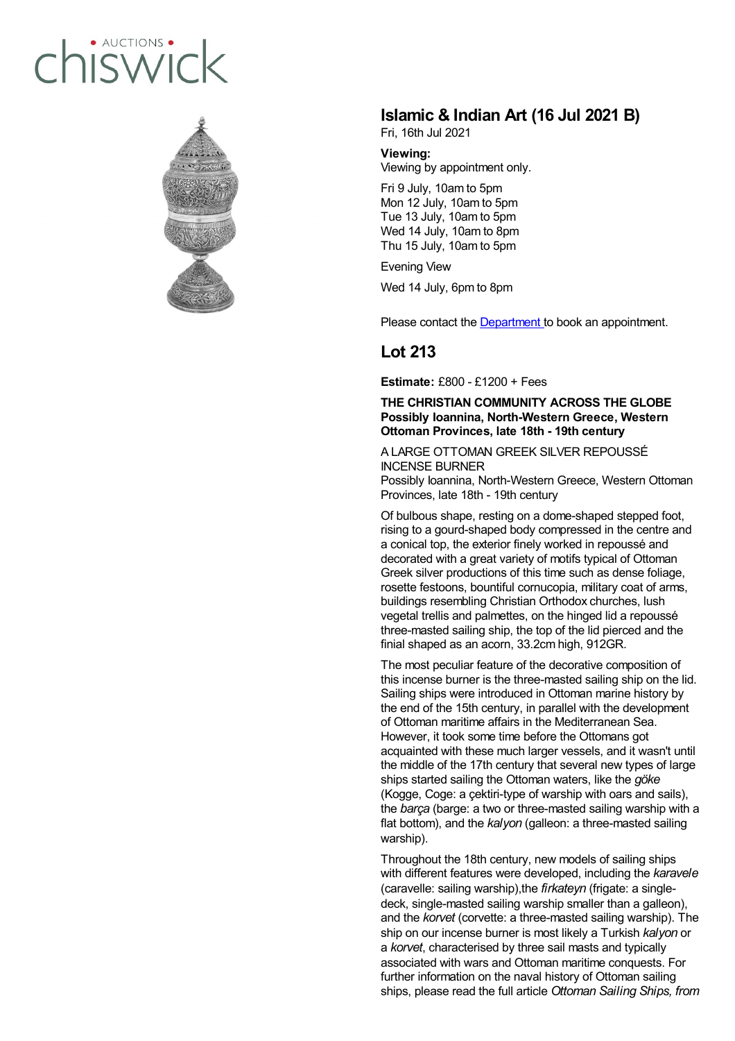## · AUCTIONS hiswick



## **Islamic & Indian Art (16 Jul 2021 B)**

Fri, 16th Jul 2021

**Viewing:** Viewing by appointment only. Fri 9 July, 10am to 5pm

Mon 12 July, 10am to 5pm Tue 13 July, 10am to 5pm Wed 14 July, 10am to 8pm Thu 15 July, 10am to 5pm

Evening View

Wed 14 July, 6pm to 8pm

Please contact the [Department](mailto:beatrice.campi@chiswickauctions.co.uk) to book an appointment.

## **Lot 213**

**Estimate:** £800 - £1200 + Fees

## **THE CHRISTIAN COMMUNITY ACROSS THE GLOBE Possibly Ioannina, North-Western Greece, Western Ottoman Provinces, late 18th - 19th century**

A LARGE OTTOMAN GREEK SILVER REPOUSSÉ INCENSE BURNER

Possibly Ioannina, North-Western Greece, Western Ottoman Provinces, late 18th - 19th century

Of bulbous shape, resting on a dome-shaped stepped foot, rising to a gourd-shaped body compressed in the centre and a conical top, the exterior finely worked in repoussé and decorated with a great variety of motifs typical of Ottoman Greek silver productions of this time such as dense foliage, rosette festoons, bountiful cornucopia, military coat of arms, buildings resembling Christian Orthodox churches, lush vegetal trellis and palmettes, on the hinged lid a repoussé three-masted sailing ship, the top of the lid pierced and the finial shaped as an acorn, 33.2cm high, 912GR.

The most peculiar feature of the decorative composition of this incense burner is the three-masted sailing ship on the lid. Sailing ships were introduced in Ottoman marine history by the end of the 15th century, in parallel with the development of Ottoman maritime affairs in the Mediterranean Sea. However, it took some time before the Ottomans got acquainted with these much larger vessels, and it wasn't until the middle of the 17th century that several new types of large ships started sailing the Ottoman waters, like the *göke* (Kogge, Coge: a çektiri-type of warship with oars and sails), the *barça* (barge: a two or three-masted sailing warship with a flat bottom), and the *kalyon* (galleon: a three-masted sailing warship).

Throughout the 18th century, new models of sailing ships with different features were developed, including the *karavele* (caravelle: sailing warship),the *firkateyn* (frigate: a singledeck, single-masted sailing warship smaller than a galleon), and the *korvet* (corvette: a three-masted sailing warship). The ship on our incense burner is most likely a Turkish *kalyon* or a *korvet*, characterised by three sail masts and typically associated with wars and Ottoman maritime conquests. For further information on the naval history of Ottoman sailing ships, please read the full article *Ottoman Sailing Ships, from*